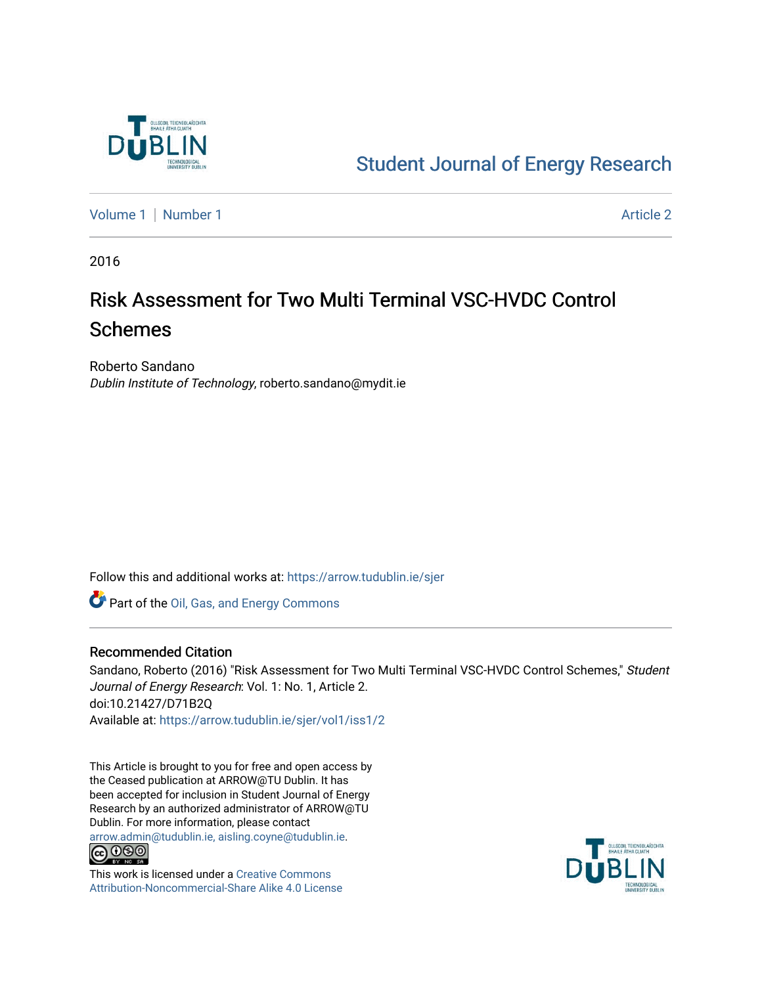

## [Student Journal of Energy Research](https://arrow.tudublin.ie/sjer)

[Volume 1](https://arrow.tudublin.ie/sjer/vol1) | [Number 1](https://arrow.tudublin.ie/sjer/vol1/iss1) Article 2

2016

# Risk Assessment for Two Multi Terminal VSC-HVDC Control Schemes

Roberto Sandano Dublin Institute of Technology, roberto.sandano@mydit.ie

Follow this and additional works at: [https://arrow.tudublin.ie/sjer](https://arrow.tudublin.ie/sjer?utm_source=arrow.tudublin.ie%2Fsjer%2Fvol1%2Fiss1%2F2&utm_medium=PDF&utm_campaign=PDFCoverPages)

Part of the [Oil, Gas, and Energy Commons](http://network.bepress.com/hgg/discipline/171?utm_source=arrow.tudublin.ie%2Fsjer%2Fvol1%2Fiss1%2F2&utm_medium=PDF&utm_campaign=PDFCoverPages)

#### Recommended Citation

Sandano, Roberto (2016) "Risk Assessment for Two Multi Terminal VSC-HVDC Control Schemes," Student Journal of Energy Research: Vol. 1: No. 1, Article 2. doi:10.21427/D71B2Q Available at: [https://arrow.tudublin.ie/sjer/vol1/iss1/2](https://arrow.tudublin.ie/sjer/vol1/iss1/2?utm_source=arrow.tudublin.ie%2Fsjer%2Fvol1%2Fiss1%2F2&utm_medium=PDF&utm_campaign=PDFCoverPages)

This Article is brought to you for free and open access by the Ceased publication at ARROW@TU Dublin. It has been accepted for inclusion in Student Journal of Energy Research by an authorized administrator of ARROW@TU Dublin. For more information, please contact [arrow.admin@tudublin.ie, aisling.coyne@tudublin.ie](mailto:arrow.admin@tudublin.ie,%20aisling.coyne@tudublin.ie).<br>COOO



This work is licensed under a [Creative Commons](http://creativecommons.org/licenses/by-nc-sa/4.0/) [Attribution-Noncommercial-Share Alike 4.0 License](http://creativecommons.org/licenses/by-nc-sa/4.0/)

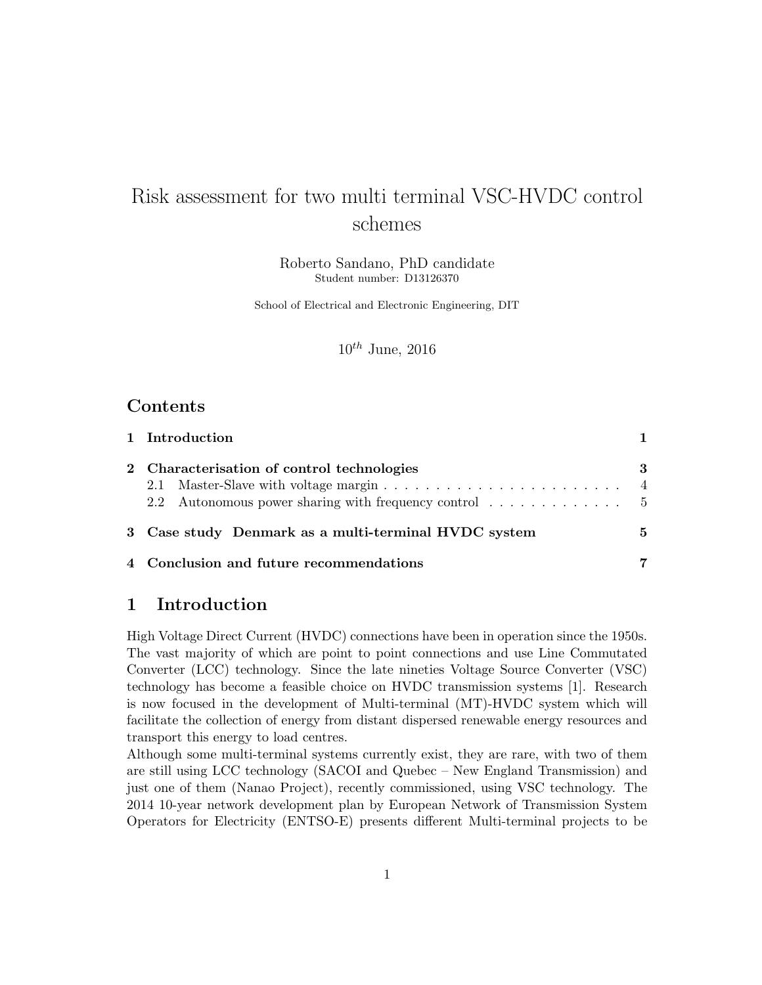## Risk assessment for two multi terminal VSC-HVDC control schemes

Roberto Sandano, PhD candidate Student number: D13126370

School of Electrical and Electronic Engineering, DIT

 $10^{th}$  June, 2016

### Contents

| 1 Introduction                                       |   |
|------------------------------------------------------|---|
| 2 Characterisation of control technologies           | 3 |
| 3 Case study Denmark as a multi-terminal HVDC system | 5 |
| 4 Conclusion and future recommendations              | 7 |

### <span id="page-1-0"></span>1 Introduction

High Voltage Direct Current (HVDC) connections have been in operation since the 1950s. The vast majority of which are point to point connections and use Line Commutated Converter (LCC) technology. Since the late nineties Voltage Source Converter (VSC) technology has become a feasible choice on HVDC transmission systems [\[1\]](#page-8-0). Research is now focused in the development of Multi-terminal (MT)-HVDC system which will facilitate the collection of energy from distant dispersed renewable energy resources and transport this energy to load centres.

Although some multi-terminal systems currently exist, they are rare, with two of them are still using LCC technology (SACOI and Quebec – New England Transmission) and just one of them (Nanao Project), recently commissioned, using VSC technology. The 2014 10-year network development plan by European Network of Transmission System Operators for Electricity (ENTSO-E) presents different Multi-terminal projects to be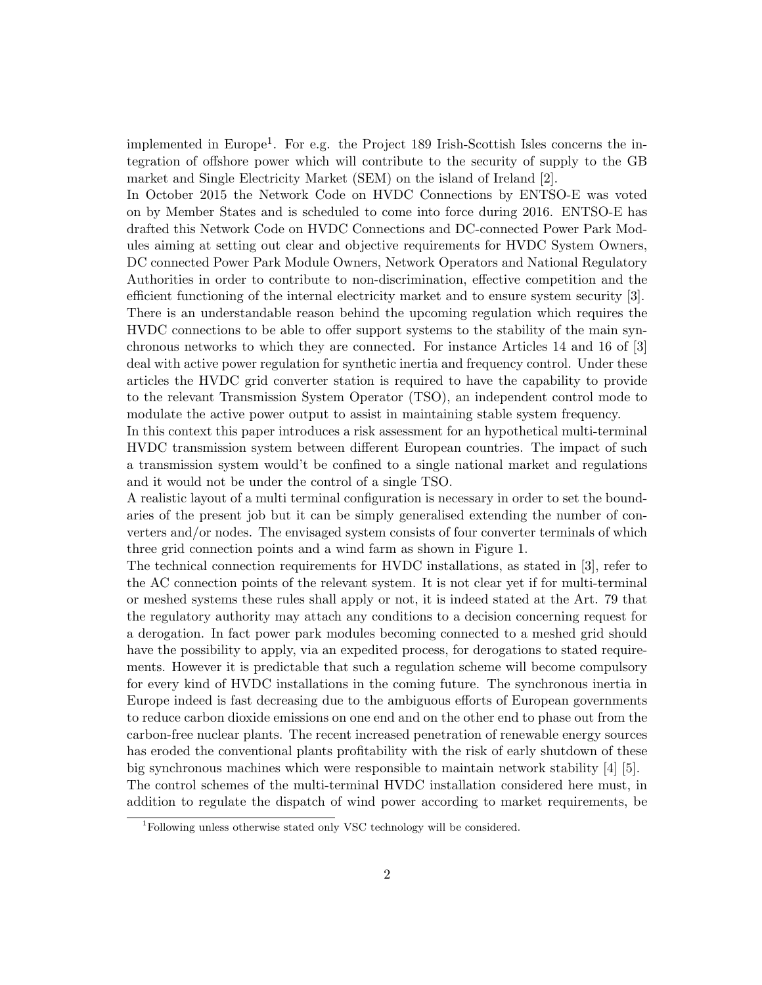implemented in Europe<sup>[1](#page-2-0)</sup>. For e.g. the Project 189 Irish-Scottish Isles concerns the integration of offshore power which will contribute to the security of supply to the GB market and Single Electricity Market (SEM) on the island of Ireland [\[2\]](#page-8-1).

In October 2015 the Network Code on HVDC Connections by ENTSO-E was voted on by Member States and is scheduled to come into force during 2016. ENTSO-E has drafted this Network Code on HVDC Connections and DC-connected Power Park Modules aiming at setting out clear and objective requirements for HVDC System Owners, DC connected Power Park Module Owners, Network Operators and National Regulatory Authorities in order to contribute to non-discrimination, effective competition and the efficient functioning of the internal electricity market and to ensure system security [\[3\]](#page-8-2). There is an understandable reason behind the upcoming regulation which requires the HVDC connections to be able to offer support systems to the stability of the main synchronous networks to which they are connected. For instance Articles 14 and 16 of [\[3\]](#page-8-2) deal with active power regulation for synthetic inertia and frequency control. Under these articles the HVDC grid converter station is required to have the capability to provide to the relevant Transmission System Operator (TSO), an independent control mode to modulate the active power output to assist in maintaining stable system frequency.

In this context this paper introduces a risk assessment for an hypothetical multi-terminal HVDC transmission system between different European countries. The impact of such a transmission system would't be confined to a single national market and regulations and it would not be under the control of a single TSO.

A realistic layout of a multi terminal configuration is necessary in order to set the boundaries of the present job but it can be simply generalised extending the number of converters and/or nodes. The envisaged system consists of four converter terminals of which three grid connection points and a wind farm as shown in Figure [1.](#page-3-1)

The technical connection requirements for HVDC installations, as stated in [\[3\]](#page-8-2), refer to the AC connection points of the relevant system. It is not clear yet if for multi-terminal or meshed systems these rules shall apply or not, it is indeed stated at the Art. 79 that the regulatory authority may attach any conditions to a decision concerning request for a derogation. In fact power park modules becoming connected to a meshed grid should have the possibility to apply, via an expedited process, for derogations to stated requirements. However it is predictable that such a regulation scheme will become compulsory for every kind of HVDC installations in the coming future. The synchronous inertia in Europe indeed is fast decreasing due to the ambiguous efforts of European governments to reduce carbon dioxide emissions on one end and on the other end to phase out from the carbon-free nuclear plants. The recent increased penetration of renewable energy sources has eroded the conventional plants profitability with the risk of early shutdown of these big synchronous machines which were responsible to maintain network stability [\[4\]](#page-8-3) [\[5\]](#page-8-4). The control schemes of the multi-terminal HVDC installation considered here must, in addition to regulate the dispatch of wind power according to market requirements, be

<span id="page-2-0"></span><sup>1</sup>Following unless otherwise stated only VSC technology will be considered.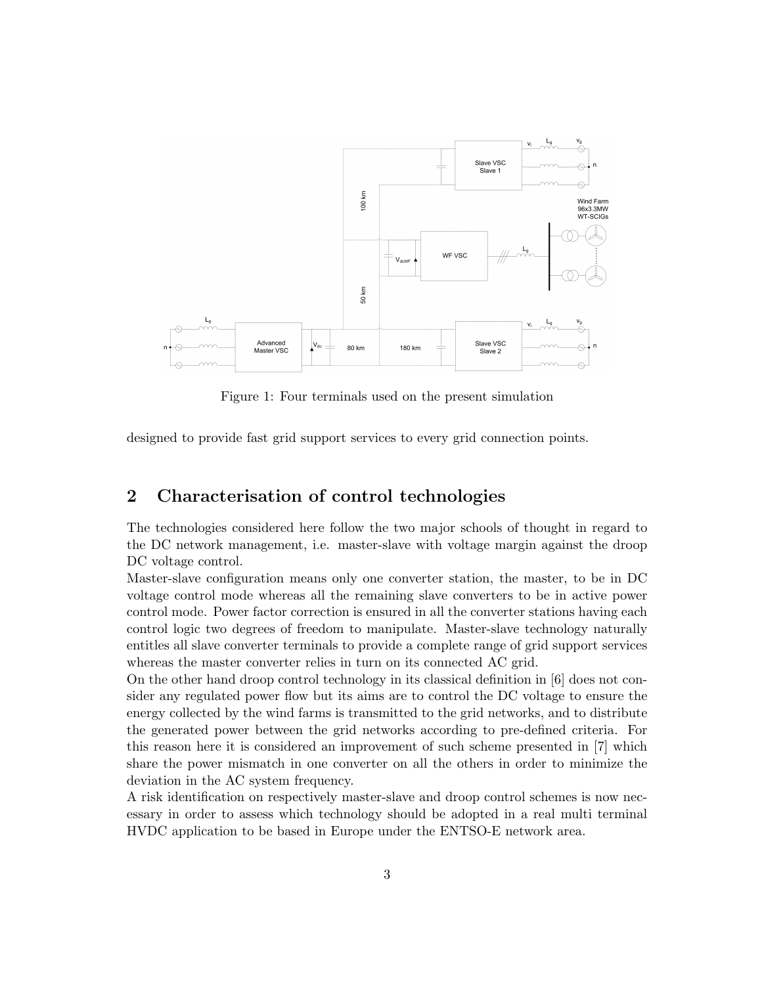

<span id="page-3-1"></span>Figure 1: Four terminals used on the present simulation

designed to provide fast grid support services to every grid connection points.

#### <span id="page-3-0"></span>2 Characterisation of control technologies

The technologies considered here follow the two major schools of thought in regard to the DC network management, i.e. master-slave with voltage margin against the droop DC voltage control.

Master-slave configuration means only one converter station, the master, to be in DC voltage control mode whereas all the remaining slave converters to be in active power control mode. Power factor correction is ensured in all the converter stations having each control logic two degrees of freedom to manipulate. Master-slave technology naturally entitles all slave converter terminals to provide a complete range of grid support services whereas the master converter relies in turn on its connected AC grid.

On the other hand droop control technology in its classical definition in [\[6\]](#page-8-5) does not consider any regulated power flow but its aims are to control the DC voltage to ensure the energy collected by the wind farms is transmitted to the grid networks, and to distribute the generated power between the grid networks according to pre-defined criteria. For this reason here it is considered an improvement of such scheme presented in [\[7\]](#page-8-6) which share the power mismatch in one converter on all the others in order to minimize the deviation in the AC system frequency.

A risk identification on respectively master-slave and droop control schemes is now necessary in order to assess which technology should be adopted in a real multi terminal HVDC application to be based in Europe under the ENTSO-E network area.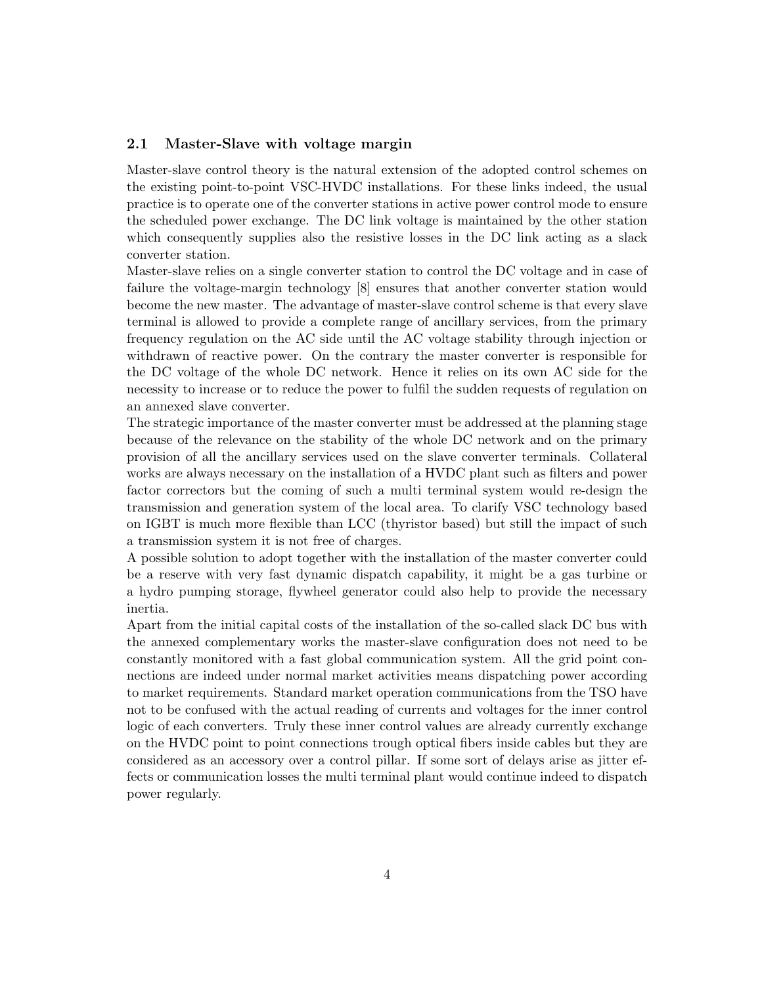#### <span id="page-4-0"></span>2.1 Master-Slave with voltage margin

Master-slave control theory is the natural extension of the adopted control schemes on the existing point-to-point VSC-HVDC installations. For these links indeed, the usual practice is to operate one of the converter stations in active power control mode to ensure the scheduled power exchange. The DC link voltage is maintained by the other station which consequently supplies also the resistive losses in the DC link acting as a slack converter station.

Master-slave relies on a single converter station to control the DC voltage and in case of failure the voltage-margin technology [\[8\]](#page-8-7) ensures that another converter station would become the new master. The advantage of master-slave control scheme is that every slave terminal is allowed to provide a complete range of ancillary services, from the primary frequency regulation on the AC side until the AC voltage stability through injection or withdrawn of reactive power. On the contrary the master converter is responsible for the DC voltage of the whole DC network. Hence it relies on its own AC side for the necessity to increase or to reduce the power to fulfil the sudden requests of regulation on an annexed slave converter.

The strategic importance of the master converter must be addressed at the planning stage because of the relevance on the stability of the whole DC network and on the primary provision of all the ancillary services used on the slave converter terminals. Collateral works are always necessary on the installation of a HVDC plant such as filters and power factor correctors but the coming of such a multi terminal system would re-design the transmission and generation system of the local area. To clarify VSC technology based on IGBT is much more flexible than LCC (thyristor based) but still the impact of such a transmission system it is not free of charges.

A possible solution to adopt together with the installation of the master converter could be a reserve with very fast dynamic dispatch capability, it might be a gas turbine or a hydro pumping storage, flywheel generator could also help to provide the necessary inertia.

Apart from the initial capital costs of the installation of the so-called slack DC bus with the annexed complementary works the master-slave configuration does not need to be constantly monitored with a fast global communication system. All the grid point connections are indeed under normal market activities means dispatching power according to market requirements. Standard market operation communications from the TSO have not to be confused with the actual reading of currents and voltages for the inner control logic of each converters. Truly these inner control values are already currently exchange on the HVDC point to point connections trough optical fibers inside cables but they are considered as an accessory over a control pillar. If some sort of delays arise as jitter effects or communication losses the multi terminal plant would continue indeed to dispatch power regularly.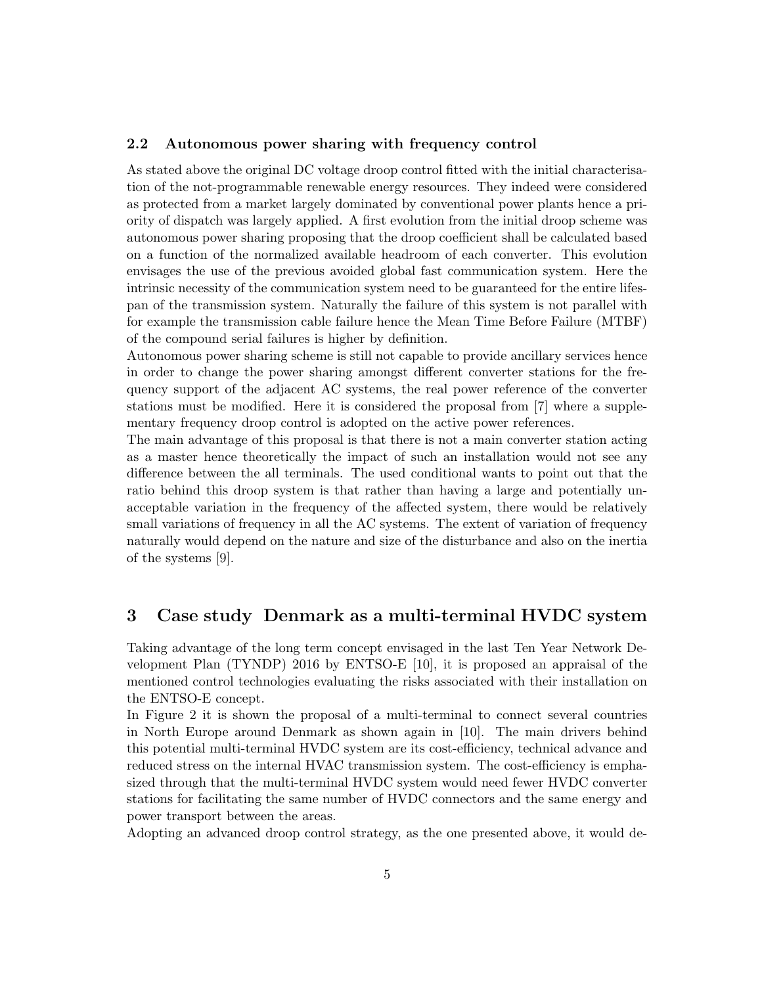#### <span id="page-5-0"></span>2.2 Autonomous power sharing with frequency control

As stated above the original DC voltage droop control fitted with the initial characterisation of the not-programmable renewable energy resources. They indeed were considered as protected from a market largely dominated by conventional power plants hence a priority of dispatch was largely applied. A first evolution from the initial droop scheme was autonomous power sharing proposing that the droop coefficient shall be calculated based on a function of the normalized available headroom of each converter. This evolution envisages the use of the previous avoided global fast communication system. Here the intrinsic necessity of the communication system need to be guaranteed for the entire lifespan of the transmission system. Naturally the failure of this system is not parallel with for example the transmission cable failure hence the Mean Time Before Failure (MTBF) of the compound serial failures is higher by definition.

Autonomous power sharing scheme is still not capable to provide ancillary services hence in order to change the power sharing amongst different converter stations for the frequency support of the adjacent AC systems, the real power reference of the converter stations must be modified. Here it is considered the proposal from [\[7\]](#page-8-6) where a supplementary frequency droop control is adopted on the active power references.

The main advantage of this proposal is that there is not a main converter station acting as a master hence theoretically the impact of such an installation would not see any difference between the all terminals. The used conditional wants to point out that the ratio behind this droop system is that rather than having a large and potentially unacceptable variation in the frequency of the affected system, there would be relatively small variations of frequency in all the AC systems. The extent of variation of frequency naturally would depend on the nature and size of the disturbance and also on the inertia of the systems [\[9\]](#page-8-8).

#### <span id="page-5-1"></span>3 Case study Denmark as a multi-terminal HVDC system

Taking advantage of the long term concept envisaged in the last Ten Year Network Development Plan (TYNDP) 2016 by ENTSO-E [\[10\]](#page-8-9), it is proposed an appraisal of the mentioned control technologies evaluating the risks associated with their installation on the ENTSO-E concept.

In Figure [2](#page-6-0) it is shown the proposal of a multi-terminal to connect several countries in North Europe around Denmark as shown again in [\[10\]](#page-8-9). The main drivers behind this potential multi-terminal HVDC system are its cost-efficiency, technical advance and reduced stress on the internal HVAC transmission system. The cost-efficiency is emphasized through that the multi-terminal HVDC system would need fewer HVDC converter stations for facilitating the same number of HVDC connectors and the same energy and power transport between the areas.

Adopting an advanced droop control strategy, as the one presented above, it would de-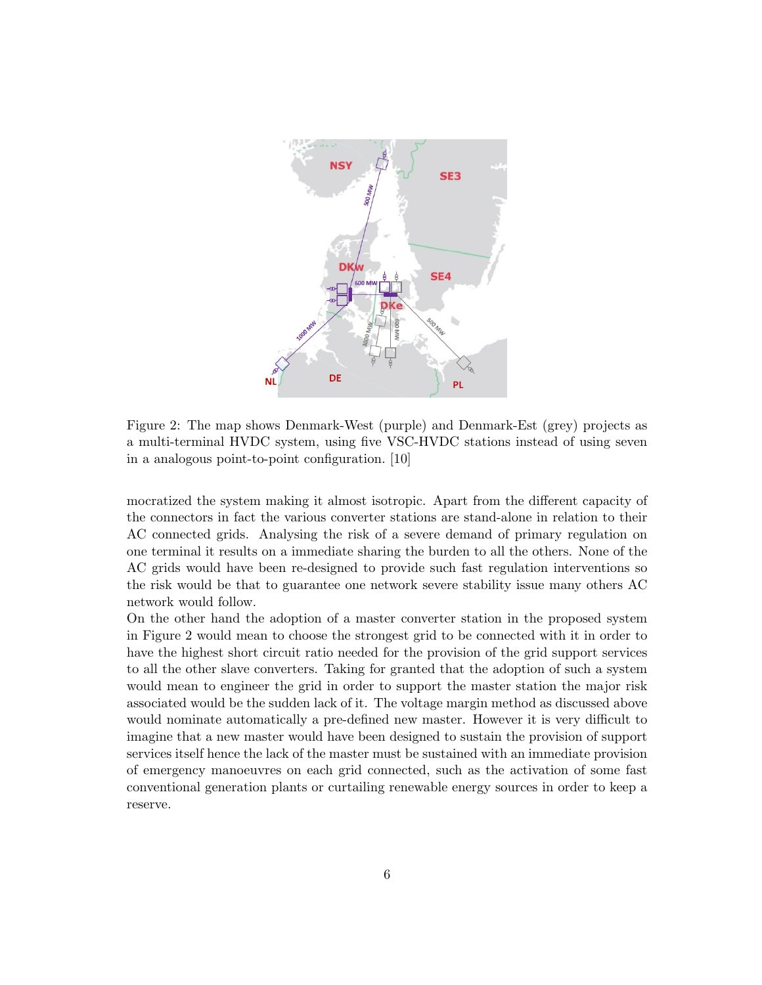

<span id="page-6-0"></span>Figure 2: The map shows Denmark-West (purple) and Denmark-Est (grey) projects as a multi-terminal HVDC system, using five VSC-HVDC stations instead of using seven in a analogous point-to-point configuration. [\[10\]](#page-8-9)

mocratized the system making it almost isotropic. Apart from the different capacity of the connectors in fact the various converter stations are stand-alone in relation to their AC connected grids. Analysing the risk of a severe demand of primary regulation on one terminal it results on a immediate sharing the burden to all the others. None of the AC grids would have been re-designed to provide such fast regulation interventions so the risk would be that to guarantee one network severe stability issue many others AC network would follow.

On the other hand the adoption of a master converter station in the proposed system in Figure [2](#page-6-0) would mean to choose the strongest grid to be connected with it in order to have the highest short circuit ratio needed for the provision of the grid support services to all the other slave converters. Taking for granted that the adoption of such a system would mean to engineer the grid in order to support the master station the major risk associated would be the sudden lack of it. The voltage margin method as discussed above would nominate automatically a pre-defined new master. However it is very difficult to imagine that a new master would have been designed to sustain the provision of support services itself hence the lack of the master must be sustained with an immediate provision of emergency manoeuvres on each grid connected, such as the activation of some fast conventional generation plants or curtailing renewable energy sources in order to keep a reserve.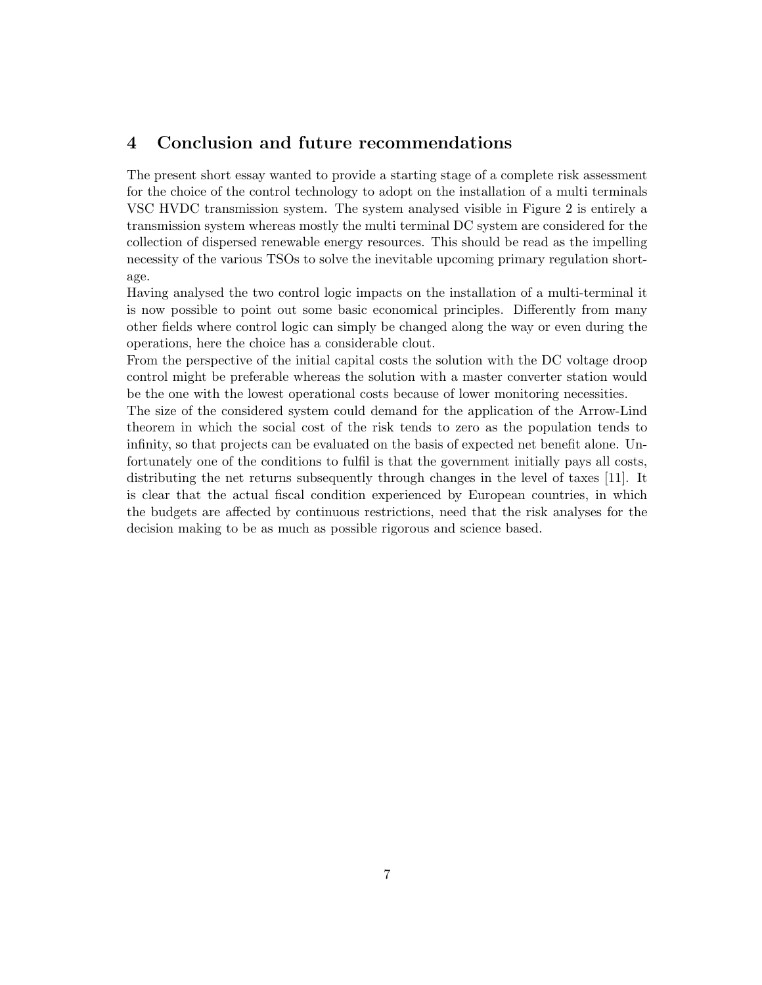#### <span id="page-7-0"></span>4 Conclusion and future recommendations

The present short essay wanted to provide a starting stage of a complete risk assessment for the choice of the control technology to adopt on the installation of a multi terminals VSC HVDC transmission system. The system analysed visible in Figure [2](#page-6-0) is entirely a transmission system whereas mostly the multi terminal DC system are considered for the collection of dispersed renewable energy resources. This should be read as the impelling necessity of the various TSOs to solve the inevitable upcoming primary regulation shortage.

Having analysed the two control logic impacts on the installation of a multi-terminal it is now possible to point out some basic economical principles. Differently from many other fields where control logic can simply be changed along the way or even during the operations, here the choice has a considerable clout.

From the perspective of the initial capital costs the solution with the DC voltage droop control might be preferable whereas the solution with a master converter station would be the one with the lowest operational costs because of lower monitoring necessities.

The size of the considered system could demand for the application of the Arrow-Lind theorem in which the social cost of the risk tends to zero as the population tends to infinity, so that projects can be evaluated on the basis of expected net benefit alone. Unfortunately one of the conditions to fulfil is that the government initially pays all costs, distributing the net returns subsequently through changes in the level of taxes [\[11\]](#page-9-0). It is clear that the actual fiscal condition experienced by European countries, in which the budgets are affected by continuous restrictions, need that the risk analyses for the decision making to be as much as possible rigorous and science based.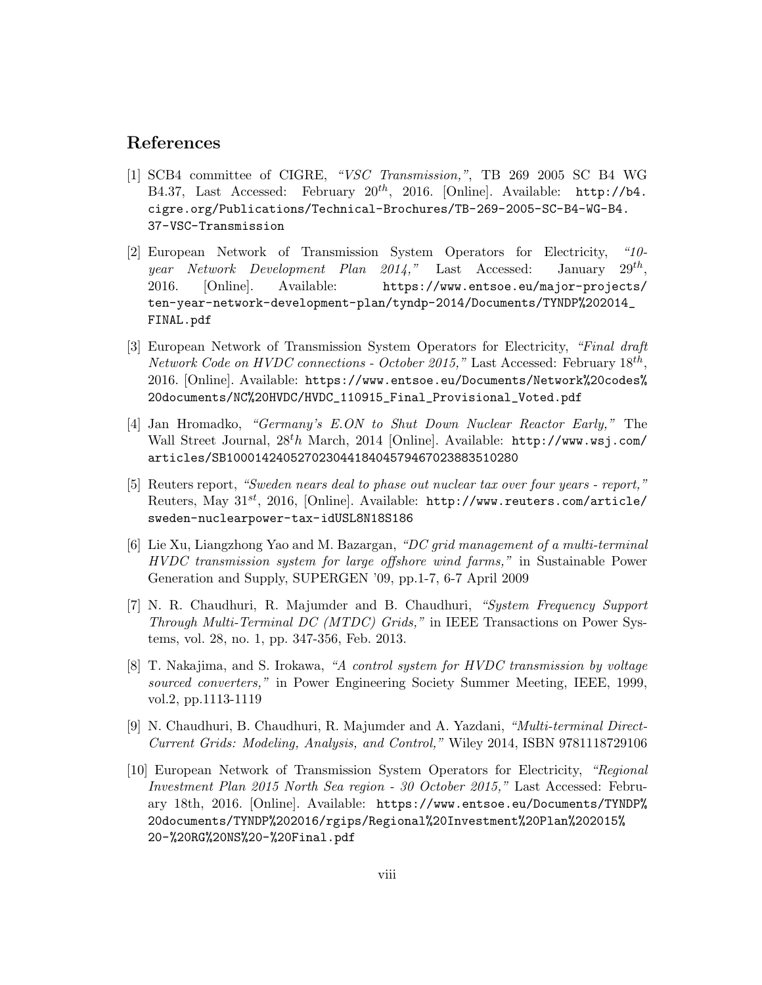#### References

- <span id="page-8-0"></span>[1] SCB4 committee of CIGRE, "VSC Transmission,", TB 269 2005 SC B4 WG B4.37, Last Accessed: February  $20^{th}$ , 2016. [Online]. Available: [http://b4.](http://b4.cigre.org/Publications/Technical-Brochures/TB-269-2005-SC-B4-WG-B4.37-VSC-Transmission) [cigre.org/Publications/Technical-Brochures/TB-269-2005-SC-B4-WG-B4.](http://b4.cigre.org/Publications/Technical-Brochures/TB-269-2005-SC-B4-WG-B4.37-VSC-Transmission) [37-VSC-Transmission](http://b4.cigre.org/Publications/Technical-Brochures/TB-269-2005-SC-B4-WG-B4.37-VSC-Transmission)
- <span id="page-8-1"></span>[2] European Network of Transmission System Operators for Electricity, "10 year Network Development Plan 2014," Last Accessed: January  $29^{th}$ . 2016. [Online]. Available: [https://www.entsoe.eu/major-projects/](https://www.entsoe.eu/major-projects/ten-year-network-development-plan/tyndp-2014/Documents/TYNDP%202014_FINAL.pdf) [ten-year-network-development-plan/tyndp-2014/Documents/TYNDP%202014\\_](https://www.entsoe.eu/major-projects/ten-year-network-development-plan/tyndp-2014/Documents/TYNDP%202014_FINAL.pdf) [FINAL.pdf](https://www.entsoe.eu/major-projects/ten-year-network-development-plan/tyndp-2014/Documents/TYNDP%202014_FINAL.pdf)
- <span id="page-8-2"></span>[3] European Network of Transmission System Operators for Electricity, "Final draft Network Code on HVDC connections - October 2015," Last Accessed: February  $18^{th}$ , 2016. [Online]. Available: [https://www.entsoe.eu/Documents/Network%20codes%](https://www.entsoe.eu/Documents/Network%20codes%20documents/NC%20HVDC/HVDC_110915_Final_Provisional_Voted.pdf) [20documents/NC%20HVDC/HVDC\\_110915\\_Final\\_Provisional\\_Voted.pdf](https://www.entsoe.eu/Documents/Network%20codes%20documents/NC%20HVDC/HVDC_110915_Final_Provisional_Voted.pdf)
- <span id="page-8-3"></span>[4] Jan Hromadko, "Germany's E.ON to Shut Down Nuclear Reactor Early," The Wall Street Journal,  $28<sup>t</sup>h$  March, 2014 [Online]. Available:  $http://www.wsj.com/$ [articles/SB10001424052702304418404579467023883510280](http://www.wsj.com/articles/SB10001424052702304418404579467023883510280)
- <span id="page-8-4"></span>[5] Reuters report, "Sweden nears deal to phase out nuclear tax over four years - report," Reuters, May  $31^{st}$ , 2016, [Online]. Available: [http://www.reuters.com/article/](http://www.reuters.com/article/sweden-nuclearpower-tax-idUSL8N18S186) [sweden-nuclearpower-tax-idUSL8N18S186](http://www.reuters.com/article/sweden-nuclearpower-tax-idUSL8N18S186)
- <span id="page-8-5"></span>[6] Lie Xu, Liangzhong Yao and M. Bazargan, "DC grid management of a multi-terminal HVDC transmission system for large offshore wind farms," in Sustainable Power Generation and Supply, SUPERGEN '09, pp.1-7, 6-7 April 2009
- <span id="page-8-6"></span>[7] N. R. Chaudhuri, R. Majumder and B. Chaudhuri, "System Frequency Support Through Multi-Terminal DC (MTDC) Grids," in IEEE Transactions on Power Systems, vol. 28, no. 1, pp. 347-356, Feb. 2013.
- <span id="page-8-7"></span>[8] T. Nakajima, and S. Irokawa, "A control system for HVDC transmission by voltage sourced converters," in Power Engineering Society Summer Meeting, IEEE, 1999, vol.2, pp.1113-1119
- <span id="page-8-8"></span>[9] N. Chaudhuri, B. Chaudhuri, R. Majumder and A. Yazdani, "Multi-terminal Direct-Current Grids: Modeling, Analysis, and Control," Wiley 2014, ISBN 9781118729106
- <span id="page-8-9"></span>[10] European Network of Transmission System Operators for Electricity, "Regional Investment Plan 2015 North Sea region - 30 October 2015," Last Accessed: February 18th, 2016. [Online]. Available: [https://www.entsoe.eu/Documents/TYNDP%](https://www.entsoe.eu/Documents/TYNDP%20documents/TYNDP%202016/rgips/Regional%20Investment%20Plan%202015%20-%20RG%20NS%20-%20Final.pdf) [20documents/TYNDP%202016/rgips/Regional%20Investment%20Plan%202015%](https://www.entsoe.eu/Documents/TYNDP%20documents/TYNDP%202016/rgips/Regional%20Investment%20Plan%202015%20-%20RG%20NS%20-%20Final.pdf) [20-%20RG%20NS%20-%20Final.pdf](https://www.entsoe.eu/Documents/TYNDP%20documents/TYNDP%202016/rgips/Regional%20Investment%20Plan%202015%20-%20RG%20NS%20-%20Final.pdf)